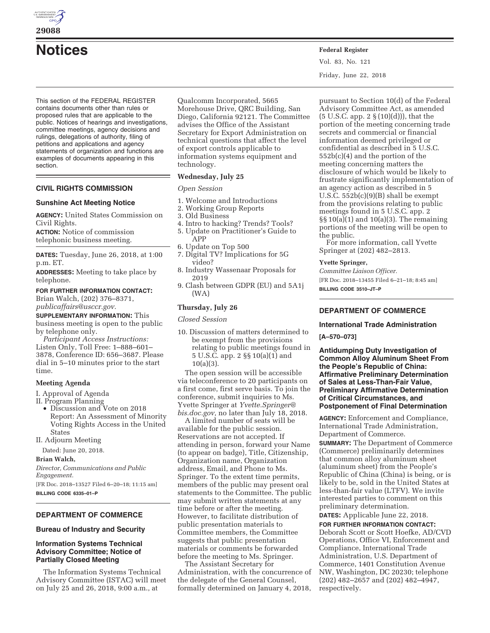

**29088** 

# **Notices Federal Register**

This section of the FEDERAL REGISTER contains documents other than rules or proposed rules that are applicable to the public. Notices of hearings and investigations, committee meetings, agency decisions and rulings, delegations of authority, filing of petitions and applications and agency statements of organization and functions are examples of documents appearing in this section.

# **CIVIL RIGHTS COMMISSION**

# **Sunshine Act Meeting Notice**

**AGENCY:** United States Commission on Civil Rights.

**ACTION:** Notice of commission telephonic business meeting.

**DATES:** Tuesday, June 26, 2018, at 1:00 p.m. ET.

**ADDRESSES:** Meeting to take place by telephone.

# **FOR FURTHER INFORMATION CONTACT:**  Brian Walch, (202) 376–8371,

*publicaffairs@usccr.gov.* 

**SUPPLEMENTARY INFORMATION:** This business meeting is open to the public by telephone only.

*Participant Access Instructions:*  Listen Only, Toll Free: 1–888–601– 3878, Conference ID: 656–3687. Please dial in 5–10 minutes prior to the start time.

# **Meeting Agenda**

I. Approval of Agenda

II. Program Planning

• Discussion and Vote on 2018 Report: An Assessment of Minority Voting Rights Access in the United States

II. Adjourn Meeting

Dated: June 20, 2018.

#### **Brian Walch,**

*Director, Communications and Public Engagement.*  [FR Doc. 2018–13527 Filed 6–20–18; 11:15 am]

**BILLING CODE 6335–01–P** 

# **DEPARTMENT OF COMMERCE**

## **Bureau of Industry and Security**

# **Information Systems Technical Advisory Committee; Notice of Partially Closed Meeting**

The Information Systems Technical Advisory Committee (ISTAC) will meet on July 25 and 26, 2018, 9:00 a.m., at

Qualcomm Incorporated, 5665 Morehouse Drive, QRC Building, San Diego, California 92121. The Committee advises the Office of the Assistant Secretary for Export Administration on technical questions that affect the level of export controls applicable to information systems equipment and technology.

# **Wednesday, July 25**

## *Open Session*

- 1. Welcome and Introductions
- 2. Working Group Reports
- 3. Old Business
- 4. Intro to hacking? Trends? Tools? 5. Update on Practitioner's Guide to APP
- 6. Update on Top 500
- 7. Digital TV? Implications for 5G video?
- 8. Industry Wassenaar Proposals for 2019
- 9. Clash between GDPR (EU) and 5A1j (WA)

## **Thursday, July 26**

*Closed Session* 

10. Discussion of matters determined to be exempt from the provisions relating to public meetings found in 5 U.S.C. app. 2 §§ 10(a)(1) and 10(a)(3).

The open session will be accessible via teleconference to 20 participants on a first come, first serve basis. To join the conference, submit inquiries to Ms. Yvette Springer at *Yvette.Springer@ bis.doc.gov,* no later than July 18, 2018.

A limited number of seats will be available for the public session. Reservations are not accepted. If attending in person, forward your Name (to appear on badge), Title, Citizenship, Organization name, Organization address, Email, and Phone to Ms. Springer. To the extent time permits, members of the public may present oral statements to the Committee. The public may submit written statements at any time before or after the meeting. However, to facilitate distribution of public presentation materials to Committee members, the Committee suggests that public presentation materials or comments be forwarded before the meeting to Ms. Springer.

The Assistant Secretary for Administration, with the concurrence of the delegate of the General Counsel, formally determined on January 4, 2018,

Vol. 83, No. 121 Friday, June 22, 2018

pursuant to Section 10(d) of the Federal Advisory Committee Act, as amended  $(5 \text{ U.S.C. app. 2 § } (10)(d))$ , that the portion of the meeting concerning trade secrets and commercial or financial information deemed privileged or confidential as described in 5 U.S.C. 552b(c)(4) and the portion of the meeting concerning matters the disclosure of which would be likely to frustrate significantly implementation of an agency action as described in 5 U.S.C. 552b(c)(9)(B) shall be exempt from the provisions relating to public meetings found in 5 U.S.C. app. 2  $\S\S10(a)(1)$  and  $10(a)(3)$ . The remaining portions of the meeting will be open to the public.

For more information, call Yvette Springer at (202) 482–2813.

#### **Yvette Springer,**

*Committee Liaison Officer.*  [FR Doc. 2018–13455 Filed 6–21–18; 8:45 am] **BILLING CODE 3510–JT–P** 

# **DEPARTMENT OF COMMERCE**

# **International Trade Administration**

**[A–570–073]** 

**Antidumping Duty Investigation of Common Alloy Aluminum Sheet From the People's Republic of China: Affirmative Preliminary Determination of Sales at Less-Than-Fair Value, Preliminary Affirmative Determination of Critical Circumstances, and Postponement of Final Determination** 

**AGENCY:** Enforcement and Compliance, International Trade Administration, Department of Commerce.

**SUMMARY:** The Department of Commerce (Commerce) preliminarily determines that common alloy aluminum sheet (aluminum sheet) from the People's Republic of China (China) is being, or is likely to be, sold in the United States at less-than-fair value (LTFV). We invite interested parties to comment on this preliminary determination.

**DATES:** Applicable June 22, 2018.

**FOR FURTHER INFORMATION CONTACT:**  Deborah Scott or Scott Hoefke, AD/CVD Operations, Office VI, Enforcement and Compliance, International Trade Administration, U.S. Department of Commerce, 1401 Constitution Avenue NW, Washington, DC 20230; telephone (202) 482–2657 and (202) 482–4947, respectively.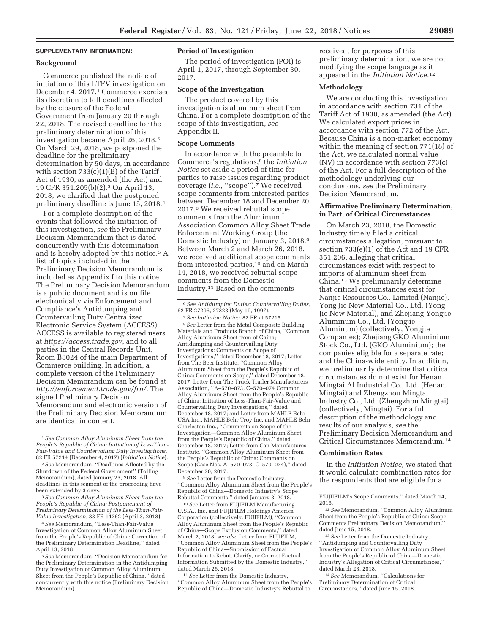## **SUPPLEMENTARY INFORMATION:**

#### **Background**

Commerce published the notice of initiation of this LTFV investigation on December 4, 2017.1 Commerce exercised its discretion to toll deadlines affected by the closure of the Federal Government from January 20 through 22, 2018. The revised deadline for the preliminary determination of this investigation became April 26, 2018.2 On March 29, 2018, we postponed the deadline for the preliminary determination by 50 days, in accordance with section  $733(c)(1)(B)$  of the Tariff Act of 1930, as amended (the Act) and 19 CFR 351.205(b)(2).3 On April 13, 2018, we clarified that the postponed preliminary deadline is June 15, 2018.4

For a complete description of the events that followed the initiation of this investigation, *see* the Preliminary Decision Memorandum that is dated concurrently with this determination and is hereby adopted by this notice.5 A list of topics included in the Preliminary Decision Memorandum is included as Appendix I to this notice. The Preliminary Decision Memorandum is a public document and is on file electronically via Enforcement and Compliance's Antidumping and Countervailing Duty Centralized Electronic Service System (ACCESS). ACCESS is available to registered users at *https://access.trade.gov,* and to all parties in the Central Records Unit, Room B8024 of the main Department of Commerce building. In addition, a complete version of the Preliminary Decision Memorandum can be found at *http://enforcement.trade.gov/frn/.* The signed Preliminary Decision Memorandum and electronic version of the Preliminary Decision Memorandum are identical in content.

4*See* Memorandum, ''Less-Than-Fair-Value Investigation of Common Alloy Aluminum Sheet from the People's Republic of China: Correction of the Preliminary Determination Deadline,'' dated April 13, 2018.

5*See* Memorandum, ''Decision Memorandum for the Preliminary Determination in the Antidumping Duty Investigation of Common Alloy Aluminum Sheet from the People's Republic of China,'' dated concurrently with this notice (Preliminary Decision Memorandum).

# **Period of Investigation**

The period of investigation (POI) is April 1, 2017, through September 30, 2017.

#### **Scope of the Investigation**

The product covered by this investigation is aluminum sheet from China. For a complete description of the scope of this investigation, *see*  Appendix II.

## **Scope Comments**

In accordance with the preamble to Commerce's regulations,6 the *Initiation Notice* set aside a period of time for parties to raise issues regarding product coverage (*i.e.*, "scope").<sup>7</sup> We received scope comments from interested parties between December 18 and December 20, 2017.8 We received rebuttal scope comments from the Aluminum Association Common Alloy Sheet Trade Enforcement Working Group (the Domestic Industry) on January 3, 2018.9 Between March 2 and March 26, 2018, we received additional scope comments from interested parties,<sup>10</sup> and on March 14, 2018, we received rebuttal scope comments from the Domestic Industry.11 Based on the comments

7*See Initiation Notice,* 82 FR at 57215. 8*See* Letter from the Metal Composite Building Materials and Products Branch of China, ''Common Alloy Aluminum Sheet from of China; Antidumping and Countervailing Duty Investigations: Comments on Scope of Investigations,'' dated December 18, 2017; Letter from The Beer Institute, ''Common Alloy Aluminum Sheet from the People's Republic of China: Comments on Scope,'' dated December 18, 2017; Letter from The Truck Trailer Manufacturers Association, ''A–570–073, C–570–074 Common Alloy Aluminum Sheet from the People's Republic of China: Initiation of Less-Than-Fair-Value and Countervailing Duty Investigations,'' dated December 18, 2017; and Letter from MAHLE Behr USA Inc., MAHLE Behr Troy Inc. and MAHLE Behr Charleston Inc., ''Comments on Scope of the Investigation—Common Alloy Aluminum Sheet from the People's Republic of China,'' dated December 18, 2017; Letter from Can Manufactures Institute, ''Common Alloy Aluminum Sheet from the People's Republic of China: Comments on Scope (Case Nos. A–570–073, C–570–074),'' dated December 20, 2017.

9*See* Letter from the Domestic Industry, ''Common Alloy Aluminum Sheet from the People's Republic of China—Domestic Industry's Scope Rebuttal Comments,'' dated January 3, 2018.

10*See* Letter from FUJIFILM Manufacturing U.S.A., Inc. and FUJIFILM Holdings America Corporation (collectively, FUJIFILM), ''Common Alloy Aluminum Sheet from the People's Republic of China—Scope Exclusion Comments,'' dated March 2, 2018; *see also* Letter from FUJIFILM, ''Common Alloy Aluminum Sheet from the People's Republic of China—Submission of Factual Information to Rebut, Clarify, or Correct Factual Information Submitted by the Domestic Industry,'' dated March 26, 2018.

11*See* Letter from the Domestic Industry, ''Common Alloy Aluminum Sheet from the People's Republic of China—Domestic Industry's Rebuttal to

received, for purposes of this preliminary determination, we are not modifying the scope language as it appeared in the *Initiation Notice.*12

## **Methodology**

We are conducting this investigation in accordance with section 731 of the Tariff Act of 1930, as amended (the Act). We calculated export prices in accordance with section 772 of the Act. Because China is a non-market economy within the meaning of section 771(18) of the Act, we calculated normal value (NV) in accordance with section 773(c) of the Act. For a full description of the methodology underlying our conclusions, *see* the Preliminary Decision Memorandum.

## **Affirmative Preliminary Determination, in Part, of Critical Circumstances**

On March 23, 2018, the Domestic Industry timely filed a critical circumstances allegation, pursuant to section 733(e)(1) of the Act and 19 CFR 351.206, alleging that critical circumstances exist with respect to imports of aluminum sheet from China.13 We preliminarily determine that critical circumstances exist for Nanjie Resources Co., Limited (Nanjie), Yong Jie New Material Co., Ltd. (Yong Jie New Material), and Zhejiang Yongjie Aluminum Co., Ltd. (Yongjie Aluminum) (collectively, Yongjie Companies); Zhejiang GKO Aluminium Stock Co., Ltd. (GKO Aluminium); the companies eligible for a separate rate; and the China-wide entity. In addition, we preliminarily determine that critical circumstances do not exist for Henan Mingtai Al Industrial Co., Ltd. (Henan Mingtai) and Zhengzhou Mingtai Industry Co., Ltd. (Zhengzhou Mingtai) (collectively, Mingtai). For a full description of the methodology and results of our analysis, *see* the Preliminary Decision Memorandum and Critical Circumstances Memorandum.14

#### **Combination Rates**

In the *Initiation Notice,* we stated that it would calculate combination rates for the respondents that are eligible for a

14*See* Memorandum, ''Calculations for Preliminary Determination of Critical Circumstances,'' dated June 15, 2018.

<sup>1</sup>*See Common Alloy Aluminum Sheet from the People's Republic of China: Initiation of Less-Than-Fair-Value and Countervailing Duty Investigations,*  82 FR 57214 (December 4, 2017) (*Initiation Notice*).

<sup>2</sup>*See* Memorandum, ''Deadlines Affected by the Shutdown of the Federal Government'' (Tolling Memorandum), dated January 23, 2018. All deadlines in this segment of the proceeding have been extended by 3 days.

<sup>3</sup>*See Common Alloy Aluminum Sheet from the People's Republic of China: Postponement of Preliminary Determination of the Less-Than-Fair-Value Investigation,* 83 FR 14262 (April 3, 2018).

<sup>6</sup>*See Antidumping Duties; Countervailing Duties,*  62 FR 27296, 27323 (May 19, 1997).

F'UJIIFILM's Scope Comments,'' dated March 14, 2018.

<sup>12</sup>*See* Memorandum, ''Common Alloy Aluminum Sheet from the People's Republic of China: Scope Comments Preliminary Decision Memorandum,'' dated June 15, 2018.

<sup>13</sup>*See* Letter from the Domestic Industry, ''Antidumping and Countervailing Duty Investigation of Common Alloy Aluminum Sheet from the People's Republic of China—Domestic Industry's Allegation of Critical Circumstances,'' dated March 23, 2018.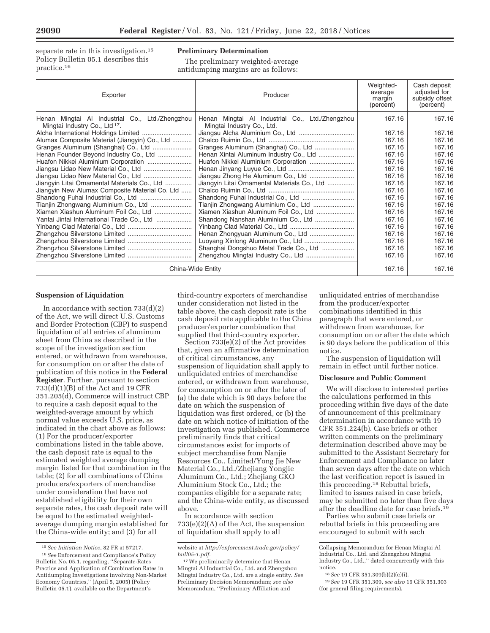separate rate in this investigation.<sup>15</sup> Policy Bulletin 05.1 describes this practice.16

# **Preliminary Determination**

The preliminary weighted-average antidumping margins are as follows:

| Exporter                                                                                     | Producer                                                                      | Weighted-<br>average<br>margin<br>(percent) | Cash deposit<br>adjusted for<br>subsidy offset<br>(percent) |
|----------------------------------------------------------------------------------------------|-------------------------------------------------------------------------------|---------------------------------------------|-------------------------------------------------------------|
| Henan Mingtai Al Industrial Co., Ltd./Zhengzhou<br>Mingtai Industry Co., Ltd <sup>17</sup> . | Henan Mingtai Al Industrial Co., Ltd./Zhengzhou<br>Mingtai Industry Co., Ltd. | 167.16                                      | 167.16                                                      |
|                                                                                              |                                                                               | 167.16                                      | 167.16                                                      |
| Alumax Composite Material (Jiangyin) Co., Ltd                                                |                                                                               | 167.16                                      | 167.16                                                      |
|                                                                                              |                                                                               | 167.16                                      | 167.16                                                      |
| Henan Founder Beyond Industry Co., Ltd                                                       | Henan Xintai Aluminum Industry Co., Ltd                                       | 167.16                                      | 167.16                                                      |
|                                                                                              | Huafon Nikkei Aluminium Corporation                                           | 167.16                                      | 167.16                                                      |
| Jiangsu Lidao New Material Co., Ltd                                                          |                                                                               | 167.16                                      | 167.16                                                      |
|                                                                                              |                                                                               | 167.16                                      | 167.16                                                      |
| Jiangyin Litai Ornamental Materials Co., Ltd                                                 | Jiangyin Litai Ornamental Materials Co., Ltd                                  | 167.16                                      | 167.16                                                      |
| Jiangyin New Alumax Composite Material Co. Ltd                                               |                                                                               | 167.16                                      | 167.16                                                      |
|                                                                                              |                                                                               | 167.16                                      | 167.16                                                      |
| Tianjin Zhongwang Aluminium Co., Ltd                                                         |                                                                               | 167.16                                      | 167.16                                                      |
| Xiamen Xiashun Aluminum Foil Co., Ltd                                                        | Xiamen Xiashun Aluminum Foil Co., Ltd                                         | 167.16                                      | 167.16                                                      |
| Yantai Jintai International Trade Co., Ltd                                                   |                                                                               | 167.16                                      | 167.16                                                      |
|                                                                                              |                                                                               | 167.16                                      | 167.16                                                      |
|                                                                                              | Henan Zhongyuan Aluminum Co., Ltd                                             | 167.16                                      | 167.16                                                      |
|                                                                                              |                                                                               | 167.16                                      | 167.16                                                      |
|                                                                                              | Shanghai Dongshuo Metal Trade Co., Ltd                                        | 167.16                                      | 167.16                                                      |
|                                                                                              |                                                                               | 167.16                                      | 167.16                                                      |
| China-Wide Entity                                                                            |                                                                               | 167.16                                      | 167.16                                                      |

#### **Suspension of Liquidation**

In accordance with section 733(d)(2) of the Act, we will direct U.S. Customs and Border Protection (CBP) to suspend liquidation of all entries of aluminum sheet from China as described in the scope of the investigation section entered, or withdrawn from warehouse, for consumption on or after the date of publication of this notice in the **Federal Register**. Further, pursuant to section 733(d)(1)(B) of the Act and 19 CFR 351.205(d), Commerce will instruct CBP to require a cash deposit equal to the weighted-average amount by which normal value exceeds U.S. price, as indicated in the chart above as follows: (1) For the producer/exporter combinations listed in the table above, the cash deposit rate is equal to the estimated weighted average dumping margin listed for that combination in the table; (2) for all combinations of China producers/exporters of merchandise under consideration that have not established eligibility for their own separate rates, the cash deposit rate will be equal to the estimated weightedaverage dumping margin established for the China-wide entity; and (3) for all

third-country exporters of merchandise under consideration not listed in the table above, the cash deposit rate is the cash deposit rate applicable to the China producer/exporter combination that supplied that third-country exporter.

Section 733(e)(2) of the Act provides that, given an affirmative determination of critical circumstances, any suspension of liquidation shall apply to unliquidated entries of merchandise entered, or withdrawn from warehouse, for consumption on or after the later of (a) the date which is 90 days before the date on which the suspension of liquidation was first ordered, or (b) the date on which notice of initiation of the investigation was published. Commerce preliminarily finds that critical circumstances exist for imports of subject merchandise from Nanjie Resources Co., Limited/Yong Jie New Material Co., Ltd./Zhejiang Yongjie Aluminum Co., Ltd.; Zhejiang GKO Aluminium Stock Co., Ltd.; the companies eligible for a separate rate; and the China-wide entity, as discussed above.

In accordance with section 733(e)(2)(A) of the Act, the suspension of liquidation shall apply to all

unliquidated entries of merchandise from the producer/exporter combinations identified in this paragraph that were entered, or withdrawn from warehouse, for consumption on or after the date which is 90 days before the publication of this notice.

The suspension of liquidation will remain in effect until further notice.

# **Disclosure and Public Comment**

We will disclose to interested parties the calculations performed in this proceeding within five days of the date of announcement of this preliminary determination in accordance with 19 CFR 351.224(b). Case briefs or other written comments on the preliminary determination described above may be submitted to the Assistant Secretary for Enforcement and Compliance no later than seven days after the date on which the last verification report is issued in this proceeding.18 Rebuttal briefs, limited to issues raised in case briefs, may be submitted no later than five days after the deadline date for case briefs.19

Parties who submit case briefs or rebuttal briefs in this proceeding are encouraged to submit with each

<sup>15</sup>*See Initiation Notice,* 82 FR at 57217. 16*See* Enforcement and Compliance's Policy Bulletin No. 05.1, regarding, ''Separate-Rates

Practice and Application of Combination Rates in Antidumping Investigations involving Non-Market Economy Countries,'' (April 5, 2005) (Policy Bulletin 05.1), available on the Department's

website at *http://enforcement.trade.gov/policy/ bull05-1.pdf.* 

<sup>&</sup>lt;sup>17</sup> We preliminarily determine that Henan Mingtai Al Industrial Co., Ltd. and Zhengzhou Mingtai Industry Co., Ltd. are a single entity. *See*  Preliminary Decision Memorandum; *see also*  Memorandum, ''Preliminary Affiliation and

Collapsing Memorandum for Henan Mingtai Al Industrial Co., Ltd. and Zhengzhou Mingtai Industry Co., Ltd.,'' dated concurrently with this notice.

<sup>18</sup>*See* 19 CFR 351.309(b)(2)(c)(i).

<sup>19</sup>*See* 19 CFR 351.309, *see also* 19 CFR 351.303 (for general filing requirements).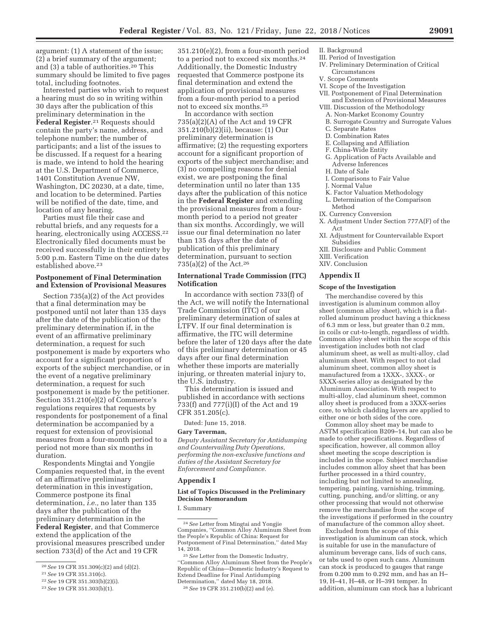argument: (1) A statement of the issue; (2) a brief summary of the argument; and (3) a table of authorities.20 This summary should be limited to five pages total, including footnotes.

Interested parties who wish to request a hearing must do so in writing within 30 days after the publication of this preliminary determination in the **Federal Register**.21 Requests should contain the party's name, address, and telephone number; the number of participants; and a list of the issues to be discussed. If a request for a hearing is made, we intend to hold the hearing at the U.S. Department of Commerce, 1401 Constitution Avenue NW, Washington, DC 20230, at a date, time, and location to be determined. Parties will be notified of the date, time, and location of any hearing.

Parties must file their case and rebuttal briefs, and any requests for a hearing, electronically using ACCESS.22 Electronically filed documents must be received successfully in their entirety by 5:00 p.m. Eastern Time on the due dates established above.23

## **Postponement of Final Determination and Extension of Provisional Measures**

Section 735(a)(2) of the Act provides that a final determination may be postponed until not later than 135 days after the date of the publication of the preliminary determination if, in the event of an affirmative preliminary determination, a request for such postponement is made by exporters who account for a significant proportion of exports of the subject merchandise, or in the event of a negative preliminary determination, a request for such postponement is made by the petitioner. Section 351.210(e)(2) of Commerce's regulations requires that requests by respondents for postponement of a final determination be accompanied by a request for extension of provisional measures from a four-month period to a period not more than six months in duration.

Respondents Mingtai and Yongjie Companies requested that, in the event of an affirmative preliminary determination in this investigation, Commerce postpone its final determination, *i.e.,* no later than 135 days after the publication of the preliminary determination in the **Federal Register**, and that Commerce extend the application of the provisional measures prescribed under section 733(d) of the Act and 19 CFR

351.210(e)(2), from a four-month period to a period not to exceed six months.24 Additionally, the Domestic Industry requested that Commerce postpone its final determination and extend the application of provisional measures from a four-month period to a period not to exceed six months.25

In accordance with section 735(a)(2)(A) of the Act and 19 CFR 351.210(b)(2)(ii), because: (1) Our preliminary determination is affirmative; (2) the requesting exporters account for a significant proportion of exports of the subject merchandise; and (3) no compelling reasons for denial exist, we are postponing the final determination until no later than 135 days after the publication of this notice in the **Federal Register** and extending the provisional measures from a fourmonth period to a period not greater than six months. Accordingly, we will issue our final determination no later than 135 days after the date of publication of this preliminary determination, pursuant to section 735(a)(2) of the Act.26

# **International Trade Commission (ITC) Notification**

In accordance with section 733(f) of the Act, we will notify the International Trade Commission (ITC) of our preliminary determination of sales at LTFV. If our final determination is affirmative, the ITC will determine before the later of 120 days after the date of this preliminary determination or 45 days after our final determination whether these imports are materially injuring, or threaten material injury to, the U.S. industry.

This determination is issued and published in accordance with sections 733(f) and 777(i)(I) of the Act and 19 CFR 351.205(c).

Dated: June 15, 2018.

#### **Gary Taverman,**

*Deputy Assistant Secretary for Antidumping and Countervailing Duty Operations, performing the non-exclusive functions and duties of the Assistant Secretary for Enforcement and Compliance.* 

#### **Appendix I**

# **List of Topics Discussed in the Preliminary Decision Memorandum**

I. Summary

- II. Background
- III. Period of Investigation
- IV. Preliminary Determination of Critical Circumstances
- V. Scope Comments
- VI. Scope of the Investigation
	- VII. Postponement of Final Determination and Extension of Provisional Measures
	- VIII. Discussion of the Methodology
	- A. Non-Market Economy Country
	- B. Surrogate Country and Surrogate Values
	- C. Separate Rates
	- D. Combination Rates
	- E. Collapsing and Affiliation
	- F. China-Wide Entity
	- G. Application of Facts Available and Adverse Inferences
	- H. Date of Sale
	- I. Comparisons to Fair Value
	- J. Normal Value
	- K. Factor Valuation Methodology
	- L. Determination of the Comparison Method
	- IX. Currency Conversion
	- X. Adjustment Under Section 777A(F) of the Act
	- XI. Adjustment for Countervailable Export Subsidies
	- XII. Disclosure and Public Comment
	- XIII. Verification
	- XIV. Conclusion

#### **Appendix II**

#### **Scope of the Investigation**

The merchandise covered by this investigation is aluminum common alloy sheet (common alloy sheet), which is a flatrolled aluminum product having a thickness of 6.3 mm or less, but greater than 0.2 mm, in coils or cut-to-length, regardless of width. Common alloy sheet within the scope of this investigation includes both not clad aluminum sheet, as well as multi-alloy, clad aluminum sheet. With respect to not clad aluminum sheet, common alloy sheet is manufactured from a 1XXX-, 3XXX-, or 5XXX-series alloy as designated by the Aluminum Association. With respect to multi-alloy, clad aluminum sheet, common alloy sheet is produced from a 3XXX-series core, to which cladding layers are applied to either one or both sides of the core.

Common alloy sheet may be made to ASTM specification B209–14, but can also be made to other specifications. Regardless of specification, however, all common alloy sheet meeting the scope description is included in the scope. Subject merchandise includes common alloy sheet that has been further processed in a third country, including but not limited to annealing, tempering, painting, varnishing, trimming, cutting, punching, and/or slitting, or any other processing that would not otherwise remove the merchandise from the scope of the investigations if performed in the country of manufacture of the common alloy sheet.

Excluded from the scope of this investigation is aluminum can stock, which is suitable for use in the manufacture of aluminum beverage cans, lids of such cans, or tabs used to open such cans. Aluminum can stock is produced to gauges that range from 0.200 mm to 0.292 mm, and has an H– 19, H–41, H–48, or H–391 temper. In addition, aluminum can stock has a lubricant

<sup>20</sup>*See* 19 CFR 351.309(c)(2) and (d)(2).

<sup>21</sup>*See* 19 CFR 351.310(c).

<sup>22</sup>*See* 19 CFR 351.303(b)(2)(i).

<sup>23</sup>*See* 19 CFR 351.303(b)(1).

<sup>24</sup>*See* Letter from Mingtai and Yongjie Companies, ''Common Alloy Aluminum Sheet from the People's Republic of China: Request for Postponement of Final Determination,'' dated May 14, 2018.

<sup>25</sup>*See* Letter from the Domestic Industry, ''Common Alloy Aluminum Sheet from the People's Republic of China—Domestic Industry's Request to Extend Deadline for Final Antidumping Determination,'' dated May 18, 2018.

<sup>26</sup>*See* 19 CFR 351.210(b)(2) and (e).